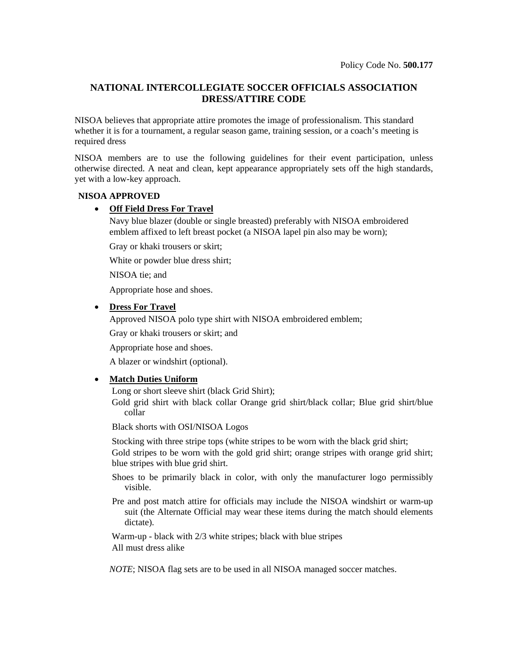# **NATIONAL INTERCOLLEGIATE SOCCER OFFICIALS ASSOCIATION DRESS/ATTIRE CODE**

NISOA believes that appropriate attire promotes the image of professionalism. This standard whether it is for a tournament, a regular season game, training session, or a coach's meeting is required dress

NISOA members are to use the following guidelines for their event participation, unless otherwise directed. A neat and clean, kept appearance appropriately sets off the high standards, yet with a low-key approach.

# **NISOA APPROVED**

# • **Off Field Dress For Travel**

Navy blue blazer (double or single breasted) preferably with NISOA embroidered emblem affixed to left breast pocket (a NISOA lapel pin also may be worn);

Gray or khaki trousers or skirt;

White or powder blue dress shirt;

NISOA tie; and

Appropriate hose and shoes.

### • **Dress For Travel**

Approved NISOA polo type shirt with NISOA embroidered emblem;

Gray or khaki trousers or skirt; and

Appropriate hose and shoes.

A blazer or windshirt (optional).

### • **Match Duties Uniform**

Long or short sleeve shirt (black Grid Shirt);

Gold grid shirt with black collar Orange grid shirt/black collar; Blue grid shirt/blue collar

Black shorts with OSI/NISOA Logos

Stocking with three stripe tops (white stripes to be worn with the black grid shirt; Gold stripes to be worn with the gold grid shirt; orange stripes with orange grid shirt; blue stripes with blue grid shirt.

Shoes to be primarily black in color, with only the manufacturer logo permissibly visible.

Pre and post match attire for officials may include the NISOA windshirt or warm-up suit (the Alternate Official may wear these items during the match should elements dictate).

Warm-up - black with 2/3 white stripes; black with blue stripes All must dress alike

*NOTE*; NISOA flag sets are to be used in all NISOA managed soccer matches.